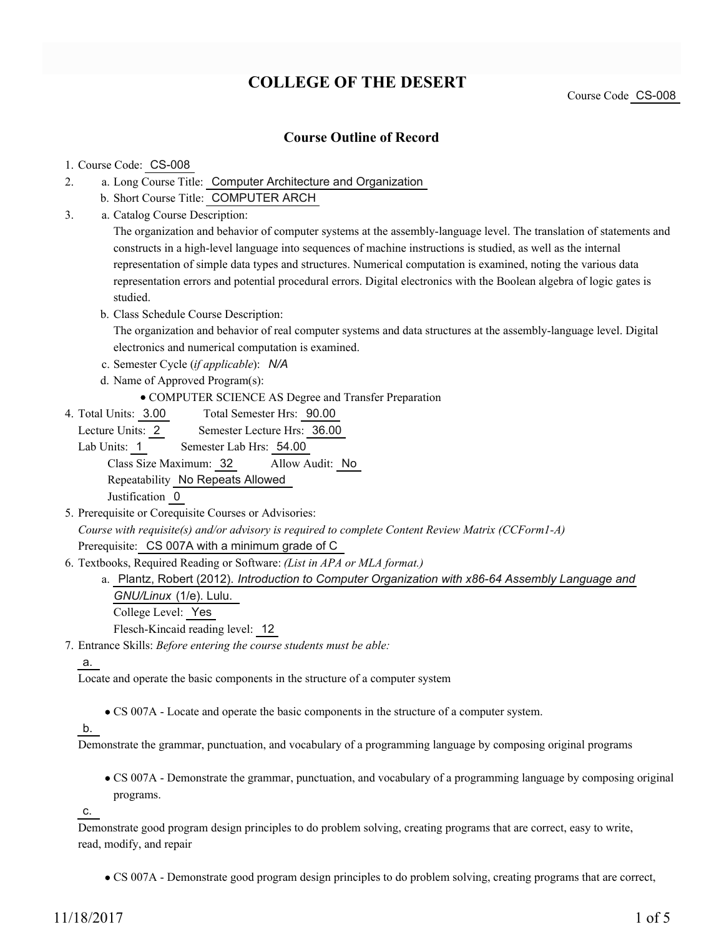# **COLLEGE OF THE DESERT**

Course Code CS-008

## **Course Outline of Record**

### 1. Course Code: CS-008

- a. Long Course Title: Computer Architecture and Organization 2.
	- b. Short Course Title: COMPUTER ARCH
- Catalog Course Description: a. 3.

The organization and behavior of computer systems at the assembly-language level. The translation of statements and constructs in a high-level language into sequences of machine instructions is studied, as well as the internal representation of simple data types and structures. Numerical computation is examined, noting the various data representation errors and potential procedural errors. Digital electronics with the Boolean algebra of logic gates is studied.

b. Class Schedule Course Description:

The organization and behavior of real computer systems and data structures at the assembly-language level. Digital electronics and numerical computation is examined.

c. Semester Cycle (*if applicable*): *N/A*

- d. Name of Approved Program(s):
	- COMPUTER SCIENCE AS Degree and Transfer Preparation
- Total Semester Hrs: 90.00 4. Total Units: 3.00

Lecture Units: 2 Semester Lecture Hrs: 36.00

Lab Units: 1 Semester Lab Hrs: 54.00

Class Size Maximum: 32 Allow Audit: No Repeatability No Repeats Allowed

Justification 0

- 5. Prerequisite or Corequisite Courses or Advisories: *Course with requisite(s) and/or advisory is required to complete Content Review Matrix (CCForm1-A)* Prerequisite: CS 007A with a minimum grade of C
- Textbooks, Required Reading or Software: *(List in APA or MLA format.)* 6.

a. Plantz, Robert (2012). *Introduction to Computer Organization with x86-64 Assembly Language and GNU/Linux* (1/e). Lulu.

College Level: Yes

Flesch-Kincaid reading level: 12

Entrance Skills: *Before entering the course students must be able:* 7.

### a.

Locate and operate the basic components in the structure of a computer system

CS 007A - Locate and operate the basic components in the structure of a computer system.

### b.

Demonstrate the grammar, punctuation, and vocabulary of a programming language by composing original programs

CS 007A - Demonstrate the grammar, punctuation, and vocabulary of a programming language by composing original programs.

c.

Demonstrate good program design principles to do problem solving, creating programs that are correct, easy to write, read, modify, and repair

CS 007A - Demonstrate good program design principles to do problem solving, creating programs that are correct,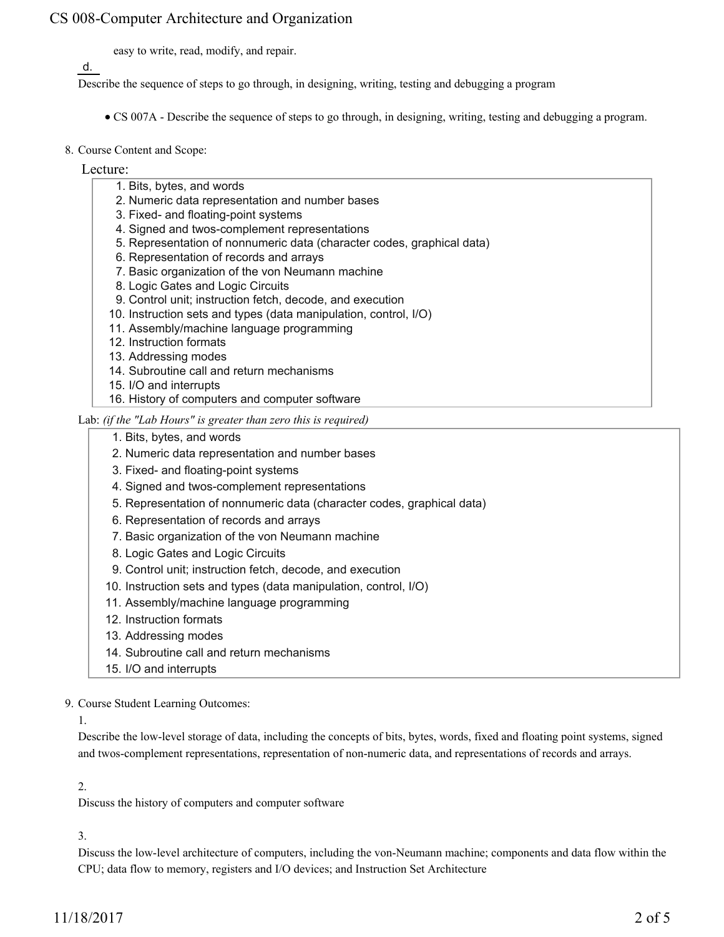easy to write, read, modify, and repair.

d.

Describe the sequence of steps to go through, in designing, writing, testing and debugging a program

- CS 007A Describe the sequence of steps to go through, in designing, writing, testing and debugging a program.
- 8. Course Content and Scope:

Lecture:

- 1. Bits, bytes, and words
- 2. Numeric data representation and number bases
- 3. Fixed- and floating-point systems
- 4. Signed and twos-complement representations
- 5. Representation of nonnumeric data (character codes, graphical data)
- 6. Representation of records and arrays
- 7. Basic organization of the von Neumann machine
- 8. Logic Gates and Logic Circuits
- 9. Control unit; instruction fetch, decode, and execution
- 10. Instruction sets and types (data manipulation, control, I/O)
- 11. Assembly/machine language programming
- 12. Instruction formats
- 13. Addressing modes
- 14. Subroutine call and return mechanisms
- 15. I/O and interrupts
- 16. History of computers and computer software

### Lab: *(if the "Lab Hours" is greater than zero this is required)*

- 1. Bits, bytes, and words
- 2. Numeric data representation and number bases
- 3. Fixed- and floating-point systems
- 4. Signed and twos-complement representations
- 5. Representation of nonnumeric data (character codes, graphical data)
- 6. Representation of records and arrays
- 7. Basic organization of the von Neumann machine
- 8. Logic Gates and Logic Circuits
- 9. Control unit; instruction fetch, decode, and execution
- 10. Instruction sets and types (data manipulation, control, I/O)
- 11. Assembly/machine language programming
- 12. Instruction formats
- 13. Addressing modes
- 14. Subroutine call and return mechanisms
- 15. I/O and interrupts
- 9. Course Student Learning Outcomes:
	- 1.

Describe the low-level storage of data, including the concepts of bits, bytes, words, fixed and floating point systems, signed and twos-complement representations, representation of non-numeric data, and representations of records and arrays.

#### 2.

Discuss the history of computers and computer software

### 3.

Discuss the low-level architecture of computers, including the von-Neumann machine; components and data flow within the CPU; data flow to memory, registers and I/O devices; and Instruction Set Architecture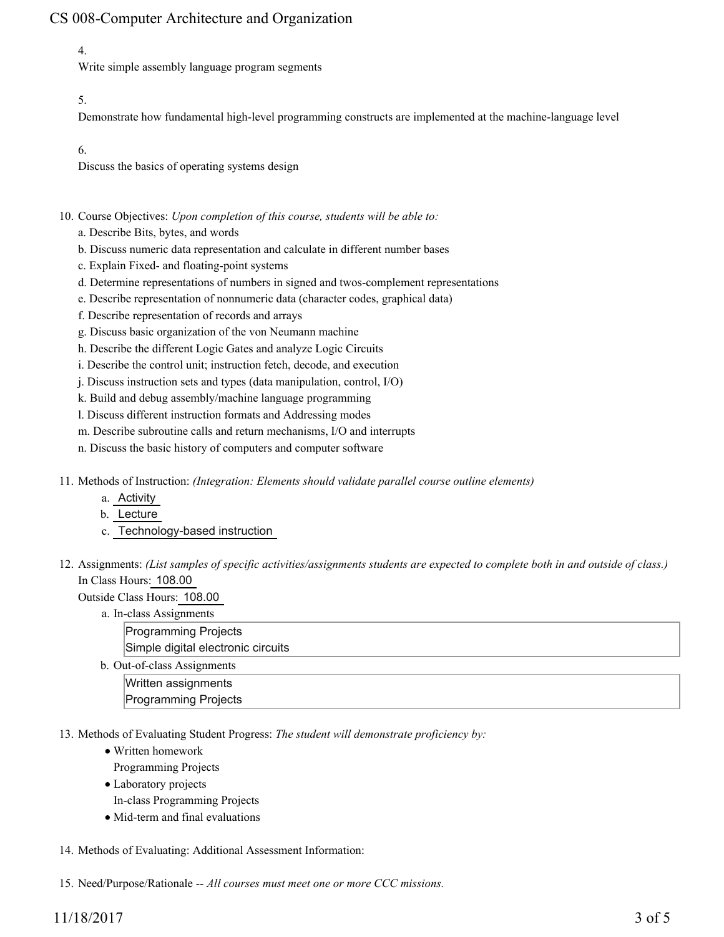## 4.

Write simple assembly language program segments

### 5.

Demonstrate how fundamental high-level programming constructs are implemented at the machine-language level

6.

Discuss the basics of operating systems design

- 10. Course Objectives: Upon completion of this course, students will be able to:
	- a. Describe Bits, bytes, and words
	- b. Discuss numeric data representation and calculate in different number bases
	- c. Explain Fixed- and floating-point systems
	- d. Determine representations of numbers in signed and twos-complement representations
	- e. Describe representation of nonnumeric data (character codes, graphical data)
	- f. Describe representation of records and arrays
	- g. Discuss basic organization of the von Neumann machine
	- h. Describe the different Logic Gates and analyze Logic Circuits
	- i. Describe the control unit; instruction fetch, decode, and execution
	- j. Discuss instruction sets and types (data manipulation, control, I/O)
	- k. Build and debug assembly/machine language programming
	- l. Discuss different instruction formats and Addressing modes
	- m. Describe subroutine calls and return mechanisms, I/O and interrupts
	- n. Discuss the basic history of computers and computer software
- Methods of Instruction: *(Integration: Elements should validate parallel course outline elements)* 11.
	- a. Activity
	- b. Lecture
	- c. Technology-based instruction
- 12. Assignments: (List samples of specific activities/assignments students are expected to complete both in and outside of class.) In Class Hours: 108.00
	- Outside Class Hours: 108.00
		- a. In-class Assignments
			- Programming Projects
			- Simple digital electronic circuits
		- b. Out-of-class Assignments Written assignments
			- Programming Projects
- 13. Methods of Evaluating Student Progress: The student will demonstrate proficiency by:
	- Written homework Programming Projects
	- Laboratory projects
	- In-class Programming Projects
	- Mid-term and final evaluations
- 14. Methods of Evaluating: Additional Assessment Information:
- 15. Need/Purpose/Rationale -- *All courses must meet one or more CCC missions.*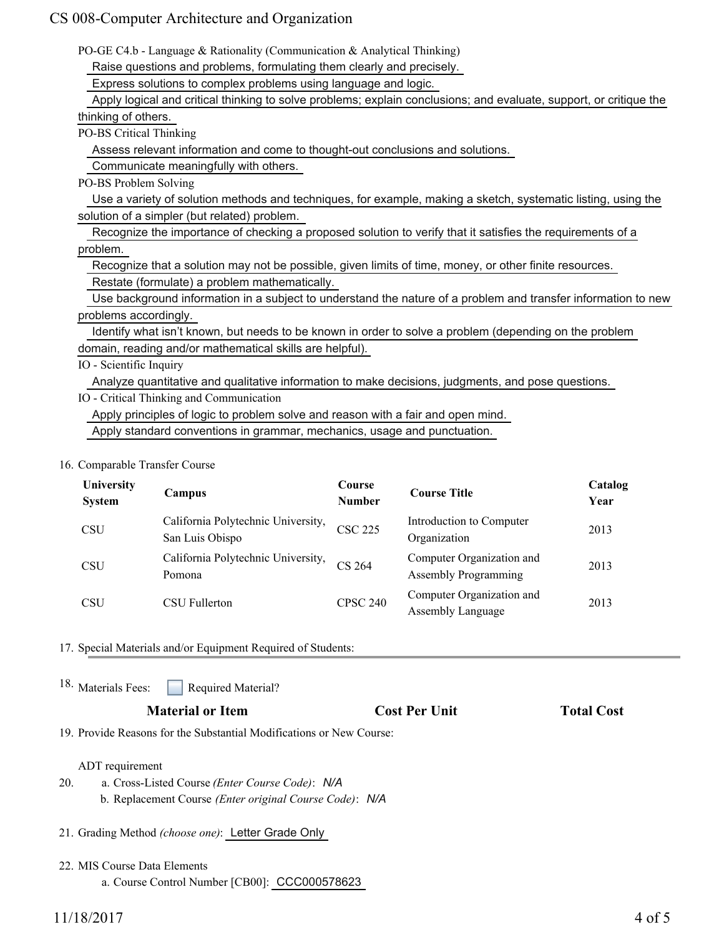| PO-GE C4.b - Language & Rationality (Communication & Analytical Thinking)                                          |
|--------------------------------------------------------------------------------------------------------------------|
| Raise questions and problems, formulating them clearly and precisely.                                              |
| Express solutions to complex problems using language and logic.                                                    |
| Apply logical and critical thinking to solve problems; explain conclusions; and evaluate, support, or critique the |
| thinking of others.                                                                                                |
| PO-BS Critical Thinking                                                                                            |
| Assess relevant information and come to thought-out conclusions and solutions.                                     |
| Communicate meaningfully with others.                                                                              |
| PO-BS Problem Solving                                                                                              |
| Use a variety of solution methods and techniques, for example, making a sketch, systematic listing, using the      |
| solution of a simpler (but related) problem.                                                                       |
| Recognize the importance of checking a proposed solution to verify that it satisfies the requirements of a         |
| problem.                                                                                                           |
| Recognize that a solution may not be possible, given limits of time, money, or other finite resources.             |
| Restate (formulate) a problem mathematically.                                                                      |
| Use background information in a subject to understand the nature of a problem and transfer information to new      |
| problems accordingly.                                                                                              |
| Identify what isn't known, but needs to be known in order to solve a problem (depending on the problem             |
| domain, reading and/or mathematical skills are helpful).                                                           |
| IO - Scientific Inquiry                                                                                            |
| Analyze quantitative and qualitative information to make decisions, judgments, and pose questions.                 |
| IO - Critical Thinking and Communication                                                                           |
| Apply principles of logic to problem solve and reason with a fair and open mind.                                   |
| Apply standard conventions in grammar, mechanics, usage and punctuation.                                           |
|                                                                                                                    |

#### 16. Comparable Transfer Course

| University<br><b>System</b> | Campus                                                | Course<br><b>Number</b> | <b>Course Title</b>                                      | Catalog<br>Year |
|-----------------------------|-------------------------------------------------------|-------------------------|----------------------------------------------------------|-----------------|
| <b>CSU</b>                  | California Polytechnic University,<br>San Luis Obispo | <b>CSC 225</b>          | Introduction to Computer<br>Organization                 | 2013            |
| <b>CSU</b>                  | California Polytechnic University,<br>Pomona          | CS 264                  | Computer Organization and<br><b>Assembly Programming</b> | 2013            |
| <b>CSU</b>                  | CSU Fullerton                                         | <b>CPSC 240</b>         | Computer Organization and<br><b>Assembly Language</b>    | 2013            |

17. Special Materials and/or Equipment Required of Students:

Required Material? 18. Materials Fees:

## **Material or Item Cost Per Unit Total Cost Per Unit Total Cost**

19. Provide Reasons for the Substantial Modifications or New Course:

### ADT requirement

- a. Cross-Listed Course *(Enter Course Code)*: *N/A* b. Replacement Course *(Enter original Course Code)*: *N/A* 20.
- 21. Grading Method *(choose one)*: Letter Grade Only
- MIS Course Data Elements 22.
	- a. Course Control Number [CB00]: CCC000578623